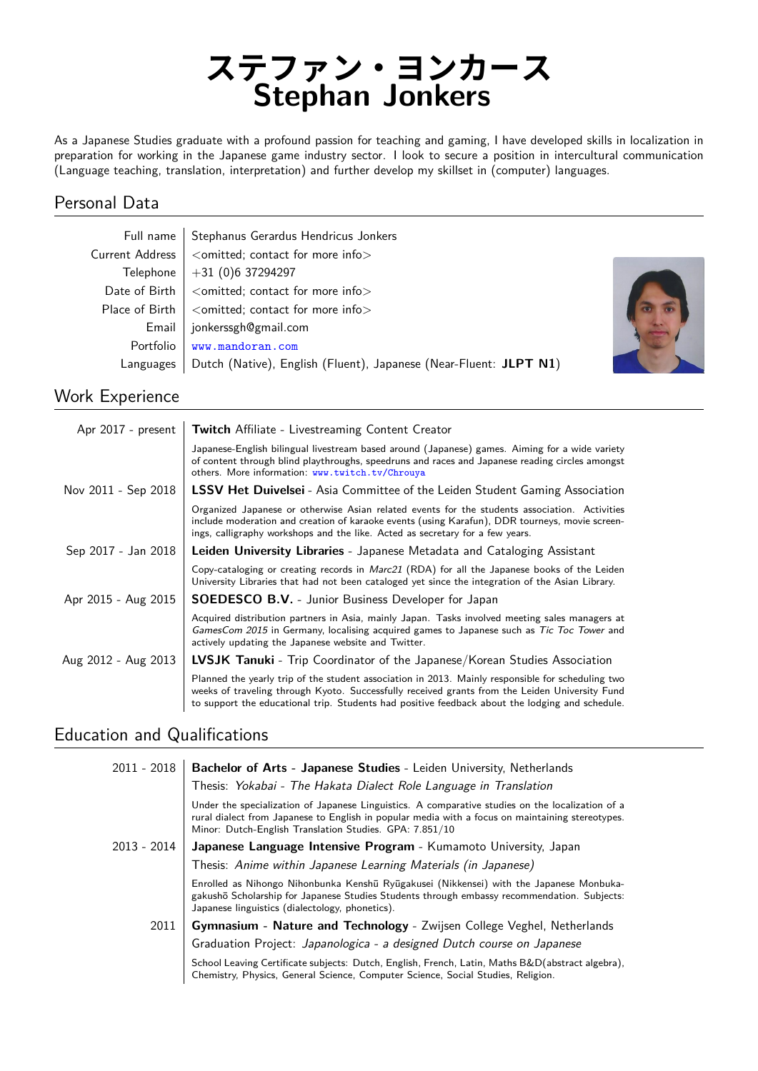# **ステファン・ヨンカース Stephan Jonkers**

As a Japanese Studies graduate with a profound passion for teaching and gaming, I have developed skills in localization in preparation for working in the Japanese game industry sector. I look to secure a position in intercultural communication (Language teaching, translation, interpretation) and further develop my skillset in (computer) languages.

### Personal Data

|                 | Full name   Stephanus Gerardus Hendricus Jonkers                  |
|-----------------|-------------------------------------------------------------------|
| Current Address | <omitted; contact="" for="" info="" more=""></omitted;>           |
|                 | Telephone $ +31$ (0)6 37294297                                    |
|                 | Date of Birth $\vert$ < omitted; contact for more info $\vert$    |
| Place of Birth  | <omitted; contact="" for="" info="" more=""></omitted;>           |
| Email           | jonkerssgh@gmail.com                                              |
| Portfolio       | www.mandoran.com                                                  |
| Languages       | Dutch (Native), English (Fluent), Japanese (Near-Fluent: JLPT N1) |



## Work Experience

| Apr 2017 - present  | <b>Twitch</b> Affiliate - Livestreaming Content Creator                                                                                                                                                                                                                                                |
|---------------------|--------------------------------------------------------------------------------------------------------------------------------------------------------------------------------------------------------------------------------------------------------------------------------------------------------|
|                     | Japanese-English bilingual livestream based around (Japanese) games. Aiming for a wide variety<br>of content through blind playthroughs, speedruns and races and Japanese reading circles amongst<br>others. More information: www.twitch.tv/Chrouya                                                   |
| Nov 2011 - Sep 2018 | <b>LSSV Het Duivelsei</b> - Asia Committee of the Leiden Student Gaming Association                                                                                                                                                                                                                    |
|                     | Organized Japanese or otherwise Asian related events for the students association. Activities<br>include moderation and creation of karaoke events (using Karafun), DDR tourneys, movie screen-<br>ings, calligraphy workshops and the like. Acted as secretary for a few years.                       |
| Sep 2017 - Jan 2018 | Leiden University Libraries - Japanese Metadata and Cataloging Assistant                                                                                                                                                                                                                               |
|                     | Copy-cataloging or creating records in Marc21 (RDA) for all the Japanese books of the Leiden<br>University Libraries that had not been cataloged yet since the integration of the Asian Library.                                                                                                       |
| Apr 2015 - Aug 2015 | <b>SOEDESCO B.V.</b> - Junior Business Developer for Japan                                                                                                                                                                                                                                             |
|                     | Acquired distribution partners in Asia, mainly Japan. Tasks involved meeting sales managers at<br>GamesCom 2015 in Germany, localising acquired games to Japanese such as Tic Toc Tower and<br>actively updating the Japanese website and Twitter.                                                     |
| Aug 2012 - Aug 2013 | LVSJK Tanuki - Trip Coordinator of the Japanese/Korean Studies Association                                                                                                                                                                                                                             |
|                     | Planned the yearly trip of the student association in 2013. Mainly responsible for scheduling two<br>weeks of traveling through Kyoto. Successfully received grants from the Leiden University Fund<br>to support the educational trip. Students had positive feedback about the lodging and schedule. |

## Education and Qualifications

| 2011 - 2018 | <b>Bachelor of Arts - Japanese Studies - Leiden University, Netherlands</b><br>Thesis: Yokabai - The Hakata Dialect Role Language in Translation                                                                                                                |
|-------------|-----------------------------------------------------------------------------------------------------------------------------------------------------------------------------------------------------------------------------------------------------------------|
|             | Under the specialization of Japanese Linguistics. A comparative studies on the localization of a<br>rural dialect from Japanese to English in popular media with a focus on maintaining stereotypes.<br>Minor: Dutch-English Translation Studies. GPA: 7.851/10 |
| 2013 - 2014 | Japanese Language Intensive Program - Kumamoto University, Japan                                                                                                                                                                                                |
|             | Thesis: Anime within Japanese Learning Materials (in Japanese)                                                                                                                                                                                                  |
|             | Enrolled as Nihongo Nihonbunka Kenshū Ryūgakusei (Nikkensei) with the Japanese Monbuka-<br>gakushō Scholarship for Japanese Studies Students through embassy recommendation. Subjects:<br>Japanese linguistics (dialectology, phonetics).                       |
| 2011        | Gymnasium - Nature and Technology - Zwijsen College Veghel, Netherlands                                                                                                                                                                                         |
|             | Graduation Project: Japanologica - a designed Dutch course on Japanese                                                                                                                                                                                          |
|             | School Leaving Certificate subjects: Dutch, English, French, Latin, Maths B&D(abstract algebra),<br>Chemistry, Physics, General Science, Computer Science, Social Studies, Religion.                                                                            |
|             |                                                                                                                                                                                                                                                                 |